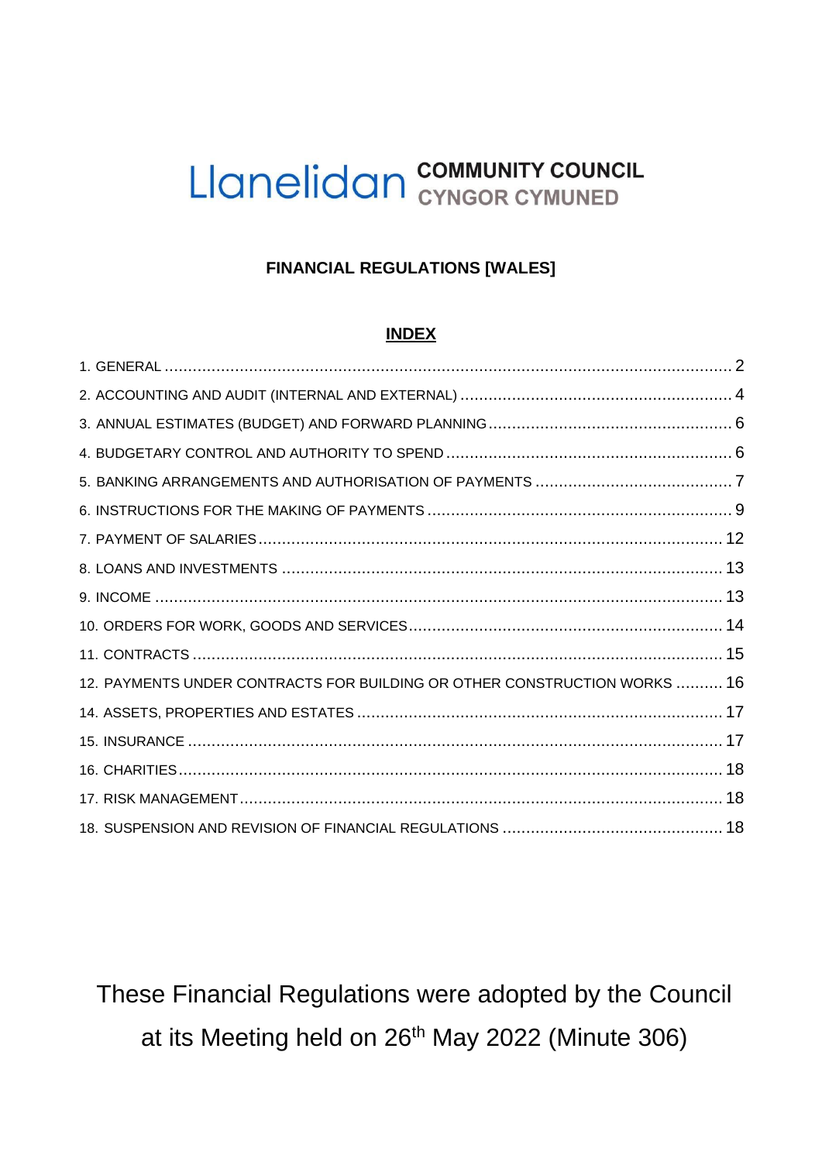## **FINANCIAL REGULATIONS [WALES]**

### **INDEX**

| 12. PAYMENTS UNDER CONTRACTS FOR BUILDING OR OTHER CONSTRUCTION WORKS  16 |  |
|---------------------------------------------------------------------------|--|
|                                                                           |  |
|                                                                           |  |
|                                                                           |  |
|                                                                           |  |
|                                                                           |  |

These Financial Regulations were adopted by the Council at its Meeting held on 26<sup>th</sup> May 2022 (Minute 306)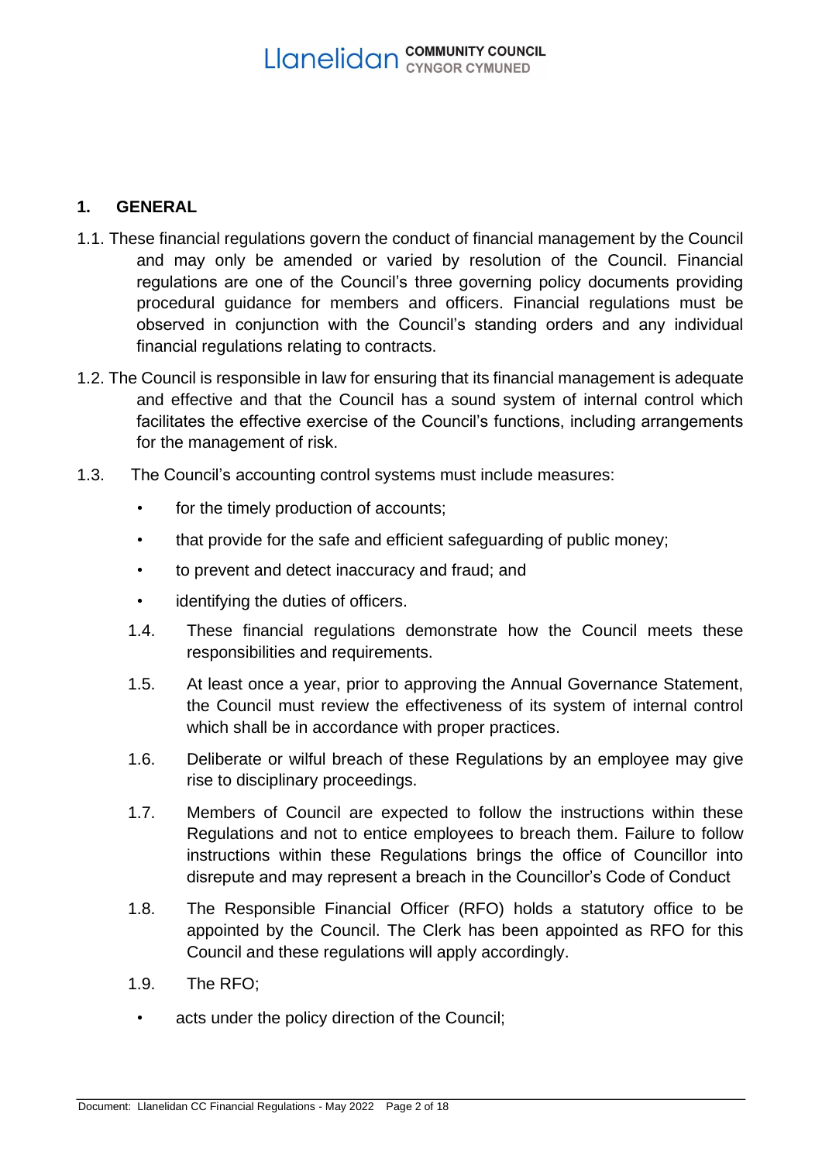## <span id="page-1-0"></span>**1. GENERAL**

- 1.1. These financial regulations govern the conduct of financial management by the Council and may only be amended or varied by resolution of the Council. Financial regulations are one of the Council's three governing policy documents providing procedural guidance for members and officers. Financial regulations must be observed in conjunction with the Council's standing orders and any individual financial regulations relating to contracts.
- 1.2. The Council is responsible in law for ensuring that its financial management is adequate and effective and that the Council has a sound system of internal control which facilitates the effective exercise of the Council's functions, including arrangements for the management of risk.
- 1.3. The Council's accounting control systems must include measures:
	- for the timely production of accounts;
	- that provide for the safe and efficient safeguarding of public money;
	- to prevent and detect inaccuracy and fraud; and
	- identifying the duties of officers.
	- 1.4. These financial regulations demonstrate how the Council meets these responsibilities and requirements.
	- 1.5. At least once a year, prior to approving the Annual Governance Statement, the Council must review the effectiveness of its system of internal control which shall be in accordance with proper practices.
	- 1.6. Deliberate or wilful breach of these Regulations by an employee may give rise to disciplinary proceedings.
	- 1.7. Members of Council are expected to follow the instructions within these Regulations and not to entice employees to breach them. Failure to follow instructions within these Regulations brings the office of Councillor into disrepute and may represent a breach in the Councillor's Code of Conduct
	- 1.8. The Responsible Financial Officer (RFO) holds a statutory office to be appointed by the Council. The Clerk has been appointed as RFO for this Council and these regulations will apply accordingly.
	- 1.9. The RFO;
	- acts under the policy direction of the Council;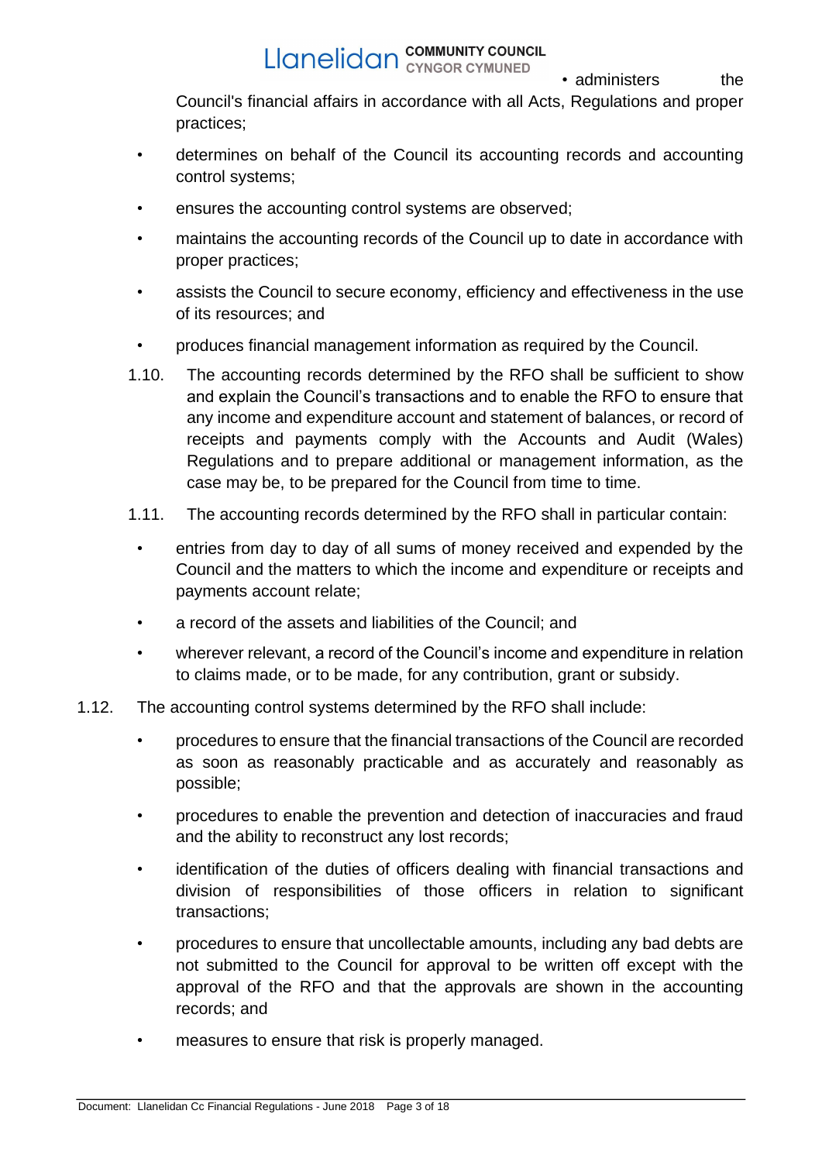• administers the

Council's financial affairs in accordance with all Acts, Regulations and proper practices;

- determines on behalf of the Council its accounting records and accounting control systems;
- ensures the accounting control systems are observed;
- maintains the accounting records of the Council up to date in accordance with proper practices;
- assists the Council to secure economy, efficiency and effectiveness in the use of its resources; and
- produces financial management information as required by the Council.
- 1.10. The accounting records determined by the RFO shall be sufficient to show and explain the Council's transactions and to enable the RFO to ensure that any income and expenditure account and statement of balances, or record of receipts and payments comply with the Accounts and Audit (Wales) Regulations and to prepare additional or management information, as the case may be, to be prepared for the Council from time to time.
- 1.11. The accounting records determined by the RFO shall in particular contain:
- entries from day to day of all sums of money received and expended by the Council and the matters to which the income and expenditure or receipts and payments account relate;
- a record of the assets and liabilities of the Council; and
- wherever relevant, a record of the Council's income and expenditure in relation to claims made, or to be made, for any contribution, grant or subsidy.
- 1.12. The accounting control systems determined by the RFO shall include:
	- procedures to ensure that the financial transactions of the Council are recorded as soon as reasonably practicable and as accurately and reasonably as possible;
	- procedures to enable the prevention and detection of inaccuracies and fraud and the ability to reconstruct any lost records;
	- identification of the duties of officers dealing with financial transactions and division of responsibilities of those officers in relation to significant transactions;
	- procedures to ensure that uncollectable amounts, including any bad debts are not submitted to the Council for approval to be written off except with the approval of the RFO and that the approvals are shown in the accounting records; and
	- measures to ensure that risk is properly managed.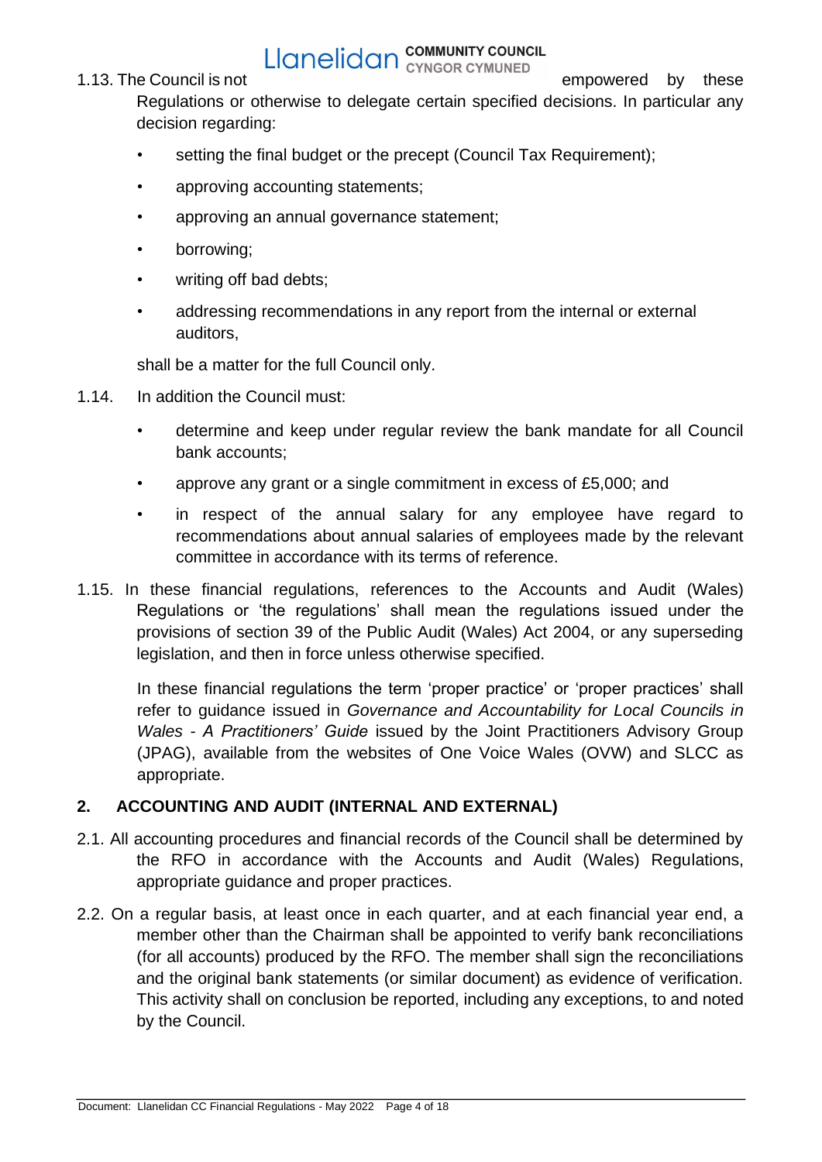# **Example 1.13.** The Council is not **Example 2.13.** The Council is not **empowered** by these

Regulations or otherwise to delegate certain specified decisions. In particular any decision regarding:

- setting the final budget or the precept (Council Tax Requirement);
- approving accounting statements;
- approving an annual governance statement;
- borrowing;
- writing off bad debts;
- addressing recommendations in any report from the internal or external auditors,

shall be a matter for the full Council only.

- 1.14. In addition the Council must:
	- determine and keep under regular review the bank mandate for all Council bank accounts;
	- approve any grant or a single commitment in excess of £5,000; and
	- in respect of the annual salary for any employee have regard to recommendations about annual salaries of employees made by the relevant committee in accordance with its terms of reference.
- 1.15. In these financial regulations, references to the Accounts and Audit (Wales) Regulations or 'the regulations' shall mean the regulations issued under the provisions of section 39 of the Public Audit (Wales) Act 2004, or any superseding legislation, and then in force unless otherwise specified.

In these financial regulations the term 'proper practice' or 'proper practices' shall refer to guidance issued in *Governance and Accountability for Local Councils in Wales - A Practitioners' Guide* issued by the Joint Practitioners Advisory Group (JPAG), available from the websites of One Voice Wales (OVW) and SLCC as appropriate.

## <span id="page-3-0"></span>**2. ACCOUNTING AND AUDIT (INTERNAL AND EXTERNAL)**

- 2.1. All accounting procedures and financial records of the Council shall be determined by the RFO in accordance with the Accounts and Audit (Wales) Regulations, appropriate guidance and proper practices.
- 2.2. On a regular basis, at least once in each quarter, and at each financial year end, a member other than the Chairman shall be appointed to verify bank reconciliations (for all accounts) produced by the RFO. The member shall sign the reconciliations and the original bank statements (or similar document) as evidence of verification. This activity shall on conclusion be reported, including any exceptions, to and noted by the Council.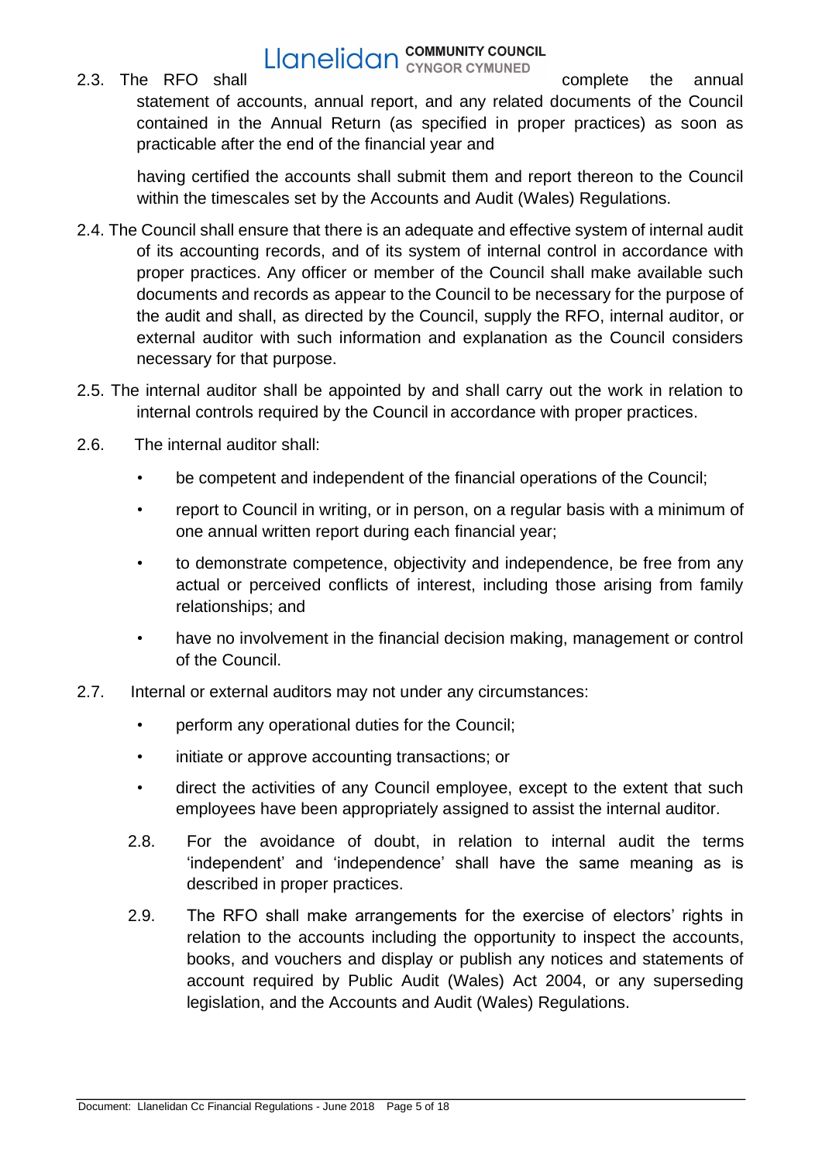# **Example 19 Example 19 Example 19 Example 19 Example 19 Example 19 Example 10 Example 10 Example 10 Example 10 Example 10 Example 10 Example 10 Example 10 Example 10 Example 10 Example 10 Example 10 Example 10 Example 10 E**

statement of accounts, annual report, and any related documents of the Council contained in the Annual Return (as specified in proper practices) as soon as practicable after the end of the financial year and

having certified the accounts shall submit them and report thereon to the Council within the timescales set by the Accounts and Audit (Wales) Regulations.

- 2.4. The Council shall ensure that there is an adequate and effective system of internal audit of its accounting records, and of its system of internal control in accordance with proper practices. Any officer or member of the Council shall make available such documents and records as appear to the Council to be necessary for the purpose of the audit and shall, as directed by the Council, supply the RFO, internal auditor, or external auditor with such information and explanation as the Council considers necessary for that purpose.
- 2.5. The internal auditor shall be appointed by and shall carry out the work in relation to internal controls required by the Council in accordance with proper practices.
- 2.6. The internal auditor shall:
	- be competent and independent of the financial operations of the Council;
	- report to Council in writing, or in person, on a regular basis with a minimum of one annual written report during each financial year;
	- to demonstrate competence, objectivity and independence, be free from any actual or perceived conflicts of interest, including those arising from family relationships; and
	- have no involvement in the financial decision making, management or control of the Council.
- 2.7. Internal or external auditors may not under any circumstances:
	- perform any operational duties for the Council;
	- initiate or approve accounting transactions; or
	- direct the activities of any Council employee, except to the extent that such employees have been appropriately assigned to assist the internal auditor.
	- 2.8. For the avoidance of doubt, in relation to internal audit the terms 'independent' and 'independence' shall have the same meaning as is described in proper practices.
	- 2.9. The RFO shall make arrangements for the exercise of electors' rights in relation to the accounts including the opportunity to inspect the accounts, books, and vouchers and display or publish any notices and statements of account required by Public Audit (Wales) Act 2004, or any superseding legislation, and the Accounts and Audit (Wales) Regulations.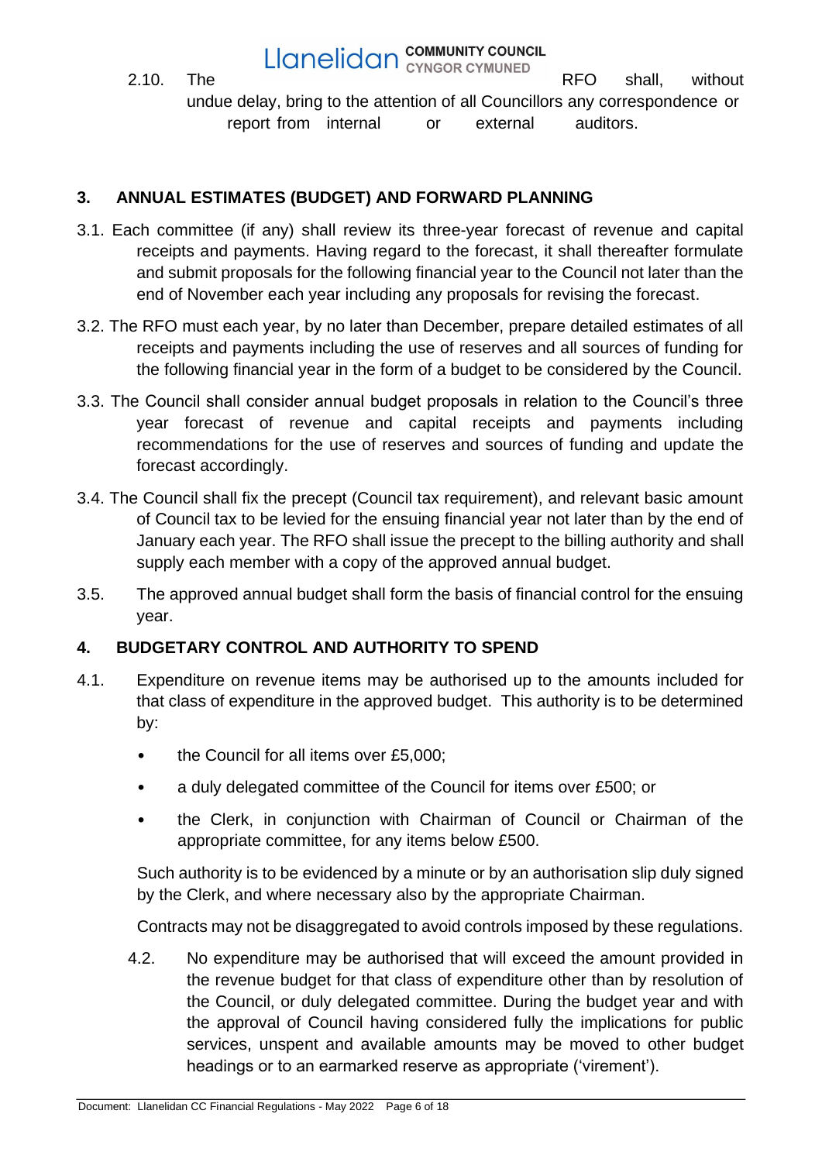2.10. The **RFO** shall, without undue delay, bring to the attention of all Councillors any correspondence or report from internal or external auditors.

## <span id="page-5-0"></span>**3. ANNUAL ESTIMATES (BUDGET) AND FORWARD PLANNING**

- 3.1. Each committee (if any) shall review its three-year forecast of revenue and capital receipts and payments. Having regard to the forecast, it shall thereafter formulate and submit proposals for the following financial year to the Council not later than the end of November each year including any proposals for revising the forecast.
- 3.2. The RFO must each year, by no later than December, prepare detailed estimates of all receipts and payments including the use of reserves and all sources of funding for the following financial year in the form of a budget to be considered by the Council.
- 3.3. The Council shall consider annual budget proposals in relation to the Council's three year forecast of revenue and capital receipts and payments including recommendations for the use of reserves and sources of funding and update the forecast accordingly.
- 3.4. The Council shall fix the precept (Council tax requirement), and relevant basic amount of Council tax to be levied for the ensuing financial year not later than by the end of January each year. The RFO shall issue the precept to the billing authority and shall supply each member with a copy of the approved annual budget.
- 3.5. The approved annual budget shall form the basis of financial control for the ensuing year.

## <span id="page-5-1"></span>**4. BUDGETARY CONTROL AND AUTHORITY TO SPEND**

- 4.1. Expenditure on revenue items may be authorised up to the amounts included for that class of expenditure in the approved budget. This authority is to be determined by:
	- the Council for all items over £5,000;
	- a duly delegated committee of the Council for items over £500; or
	- the Clerk, in conjunction with Chairman of Council or Chairman of the appropriate committee, for any items below £500.

Such authority is to be evidenced by a minute or by an authorisation slip duly signed by the Clerk, and where necessary also by the appropriate Chairman.

Contracts may not be disaggregated to avoid controls imposed by these regulations.

4.2. No expenditure may be authorised that will exceed the amount provided in the revenue budget for that class of expenditure other than by resolution of the Council, or duly delegated committee. During the budget year and with the approval of Council having considered fully the implications for public services, unspent and available amounts may be moved to other budget headings or to an earmarked reserve as appropriate ('virement').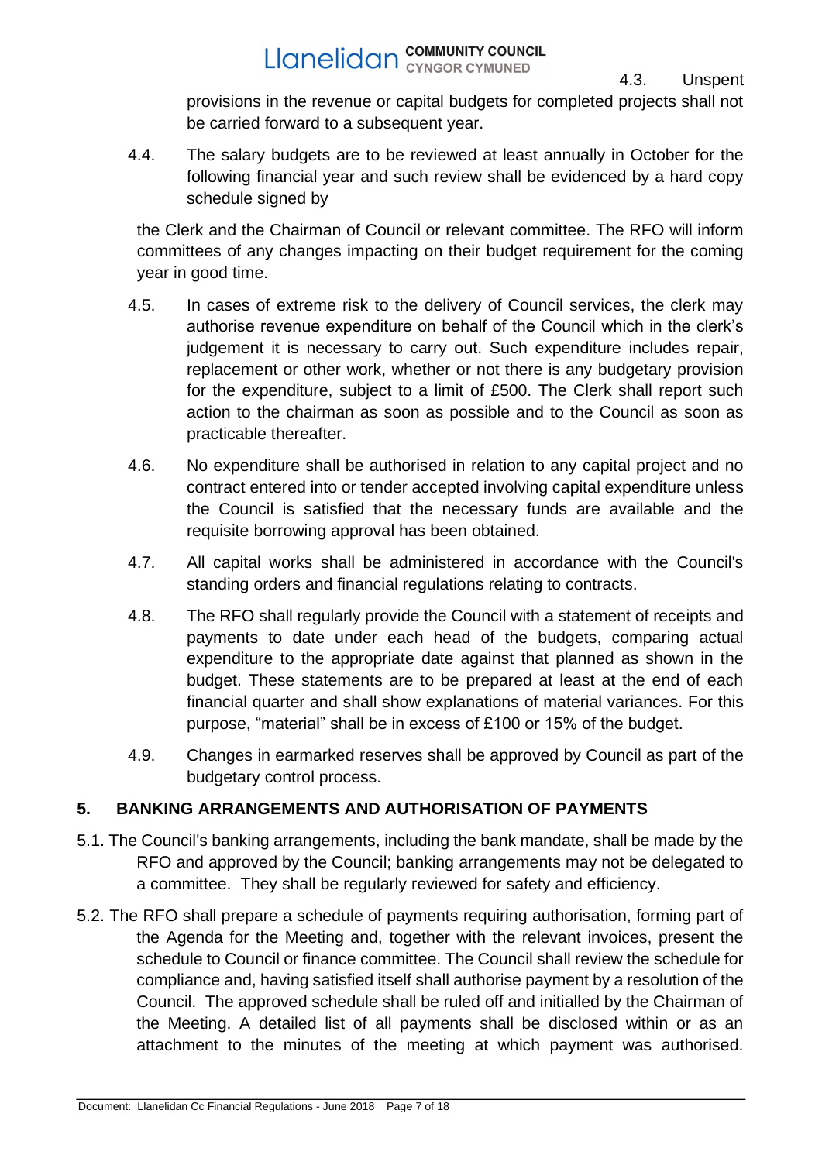provisions in the revenue or capital budgets for completed projects shall not be carried forward to a subsequent year.

4.3. Unspent

4.4. The salary budgets are to be reviewed at least annually in October for the following financial year and such review shall be evidenced by a hard copy schedule signed by

the Clerk and the Chairman of Council or relevant committee. The RFO will inform committees of any changes impacting on their budget requirement for the coming year in good time.

- 4.5. In cases of extreme risk to the delivery of Council services, the clerk may authorise revenue expenditure on behalf of the Council which in the clerk's judgement it is necessary to carry out. Such expenditure includes repair, replacement or other work, whether or not there is any budgetary provision for the expenditure, subject to a limit of £500. The Clerk shall report such action to the chairman as soon as possible and to the Council as soon as practicable thereafter.
- 4.6. No expenditure shall be authorised in relation to any capital project and no contract entered into or tender accepted involving capital expenditure unless the Council is satisfied that the necessary funds are available and the requisite borrowing approval has been obtained.
- 4.7. All capital works shall be administered in accordance with the Council's standing orders and financial regulations relating to contracts.
- 4.8. The RFO shall regularly provide the Council with a statement of receipts and payments to date under each head of the budgets, comparing actual expenditure to the appropriate date against that planned as shown in the budget. These statements are to be prepared at least at the end of each financial quarter and shall show explanations of material variances. For this purpose, "material" shall be in excess of £100 or 15% of the budget.
- 4.9. Changes in earmarked reserves shall be approved by Council as part of the budgetary control process.

## <span id="page-6-0"></span>**5. BANKING ARRANGEMENTS AND AUTHORISATION OF PAYMENTS**

- 5.1. The Council's banking arrangements, including the bank mandate, shall be made by the RFO and approved by the Council; banking arrangements may not be delegated to a committee. They shall be regularly reviewed for safety and efficiency.
- 5.2. The RFO shall prepare a schedule of payments requiring authorisation, forming part of the Agenda for the Meeting and, together with the relevant invoices, present the schedule to Council or finance committee. The Council shall review the schedule for compliance and, having satisfied itself shall authorise payment by a resolution of the Council. The approved schedule shall be ruled off and initialled by the Chairman of the Meeting. A detailed list of all payments shall be disclosed within or as an attachment to the minutes of the meeting at which payment was authorised.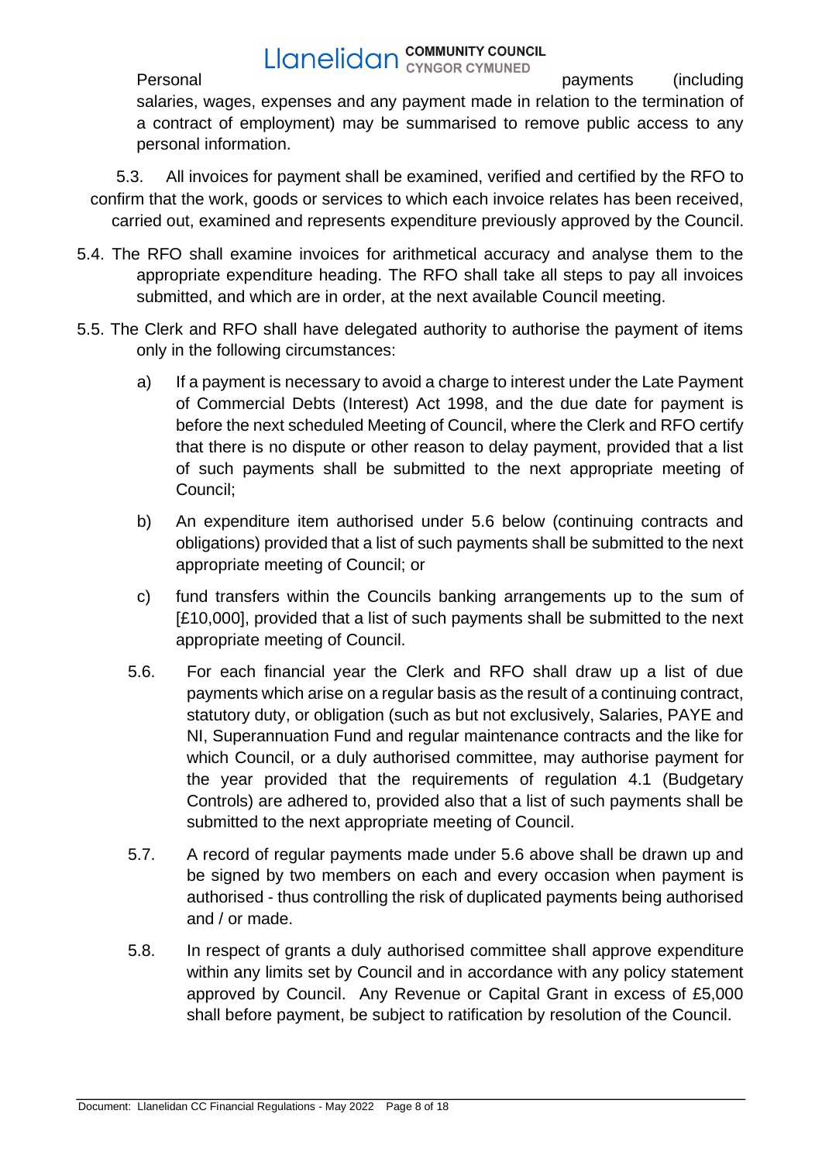**Example 19 Example 19 And COMMUNITY COUNCIL**<br>Personal payments (including salaries, wages, expenses and any payment made in relation to the termination of a contract of employment) may be summarised to remove public access to any personal information.

5.3. All invoices for payment shall be examined, verified and certified by the RFO to confirm that the work, goods or services to which each invoice relates has been received, carried out, examined and represents expenditure previously approved by the Council.

- 5.4. The RFO shall examine invoices for arithmetical accuracy and analyse them to the appropriate expenditure heading. The RFO shall take all steps to pay all invoices submitted, and which are in order, at the next available Council meeting.
- 5.5. The Clerk and RFO shall have delegated authority to authorise the payment of items only in the following circumstances:
	- a) If a payment is necessary to avoid a charge to interest under the Late Payment of Commercial Debts (Interest) Act 1998, and the due date for payment is before the next scheduled Meeting of Council, where the Clerk and RFO certify that there is no dispute or other reason to delay payment, provided that a list of such payments shall be submitted to the next appropriate meeting of Council;
	- b) An expenditure item authorised under 5.6 below (continuing contracts and obligations) provided that a list of such payments shall be submitted to the next appropriate meeting of Council; or
	- c) fund transfers within the Councils banking arrangements up to the sum of [£10,000], provided that a list of such payments shall be submitted to the next appropriate meeting of Council.
	- 5.6. For each financial year the Clerk and RFO shall draw up a list of due payments which arise on a regular basis as the result of a continuing contract, statutory duty, or obligation (such as but not exclusively, Salaries, PAYE and NI, Superannuation Fund and regular maintenance contracts and the like for which Council, or a duly authorised committee, may authorise payment for the year provided that the requirements of regulation 4.1 (Budgetary Controls) are adhered to, provided also that a list of such payments shall be submitted to the next appropriate meeting of Council.
	- 5.7. A record of regular payments made under 5.6 above shall be drawn up and be signed by two members on each and every occasion when payment is authorised - thus controlling the risk of duplicated payments being authorised and / or made.
	- 5.8. In respect of grants a duly authorised committee shall approve expenditure within any limits set by Council and in accordance with any policy statement approved by Council. Any Revenue or Capital Grant in excess of £5,000 shall before payment, be subject to ratification by resolution of the Council.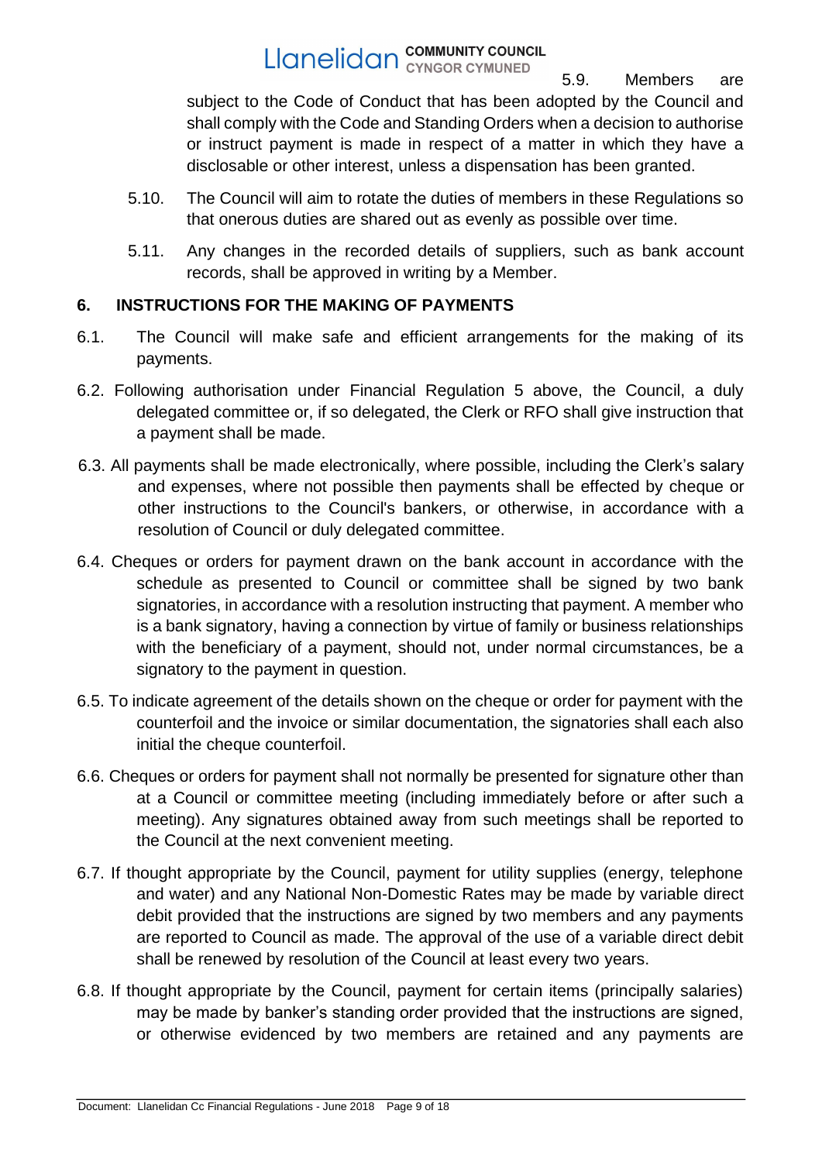5.9. Members are subject to the Code of Conduct that has been adopted by the Council and shall comply with the Code and Standing Orders when a decision to authorise or instruct payment is made in respect of a matter in which they have a disclosable or other interest, unless a dispensation has been granted.

- 5.10. The Council will aim to rotate the duties of members in these Regulations so that onerous duties are shared out as evenly as possible over time.
- 5.11. Any changes in the recorded details of suppliers, such as bank account records, shall be approved in writing by a Member.

## <span id="page-8-0"></span>**6. INSTRUCTIONS FOR THE MAKING OF PAYMENTS**

- 6.1. The Council will make safe and efficient arrangements for the making of its payments.
- 6.2. Following authorisation under Financial Regulation 5 above, the Council, a duly delegated committee or, if so delegated, the Clerk or RFO shall give instruction that a payment shall be made.
- 6.3. All payments shall be made electronically, where possible, including the Clerk's salary and expenses, where not possible then payments shall be effected by cheque or other instructions to the Council's bankers, or otherwise, in accordance with a resolution of Council or duly delegated committee.
- 6.4. Cheques or orders for payment drawn on the bank account in accordance with the schedule as presented to Council or committee shall be signed by two bank signatories, in accordance with a resolution instructing that payment. A member who is a bank signatory, having a connection by virtue of family or business relationships with the beneficiary of a payment, should not, under normal circumstances, be a signatory to the payment in question.
- 6.5. To indicate agreement of the details shown on the cheque or order for payment with the counterfoil and the invoice or similar documentation, the signatories shall each also initial the cheque counterfoil.
- 6.6. Cheques or orders for payment shall not normally be presented for signature other than at a Council or committee meeting (including immediately before or after such a meeting). Any signatures obtained away from such meetings shall be reported to the Council at the next convenient meeting.
- 6.7. If thought appropriate by the Council, payment for utility supplies (energy, telephone and water) and any National Non-Domestic Rates may be made by variable direct debit provided that the instructions are signed by two members and any payments are reported to Council as made. The approval of the use of a variable direct debit shall be renewed by resolution of the Council at least every two years.
- 6.8. If thought appropriate by the Council, payment for certain items (principally salaries) may be made by banker's standing order provided that the instructions are signed, or otherwise evidenced by two members are retained and any payments are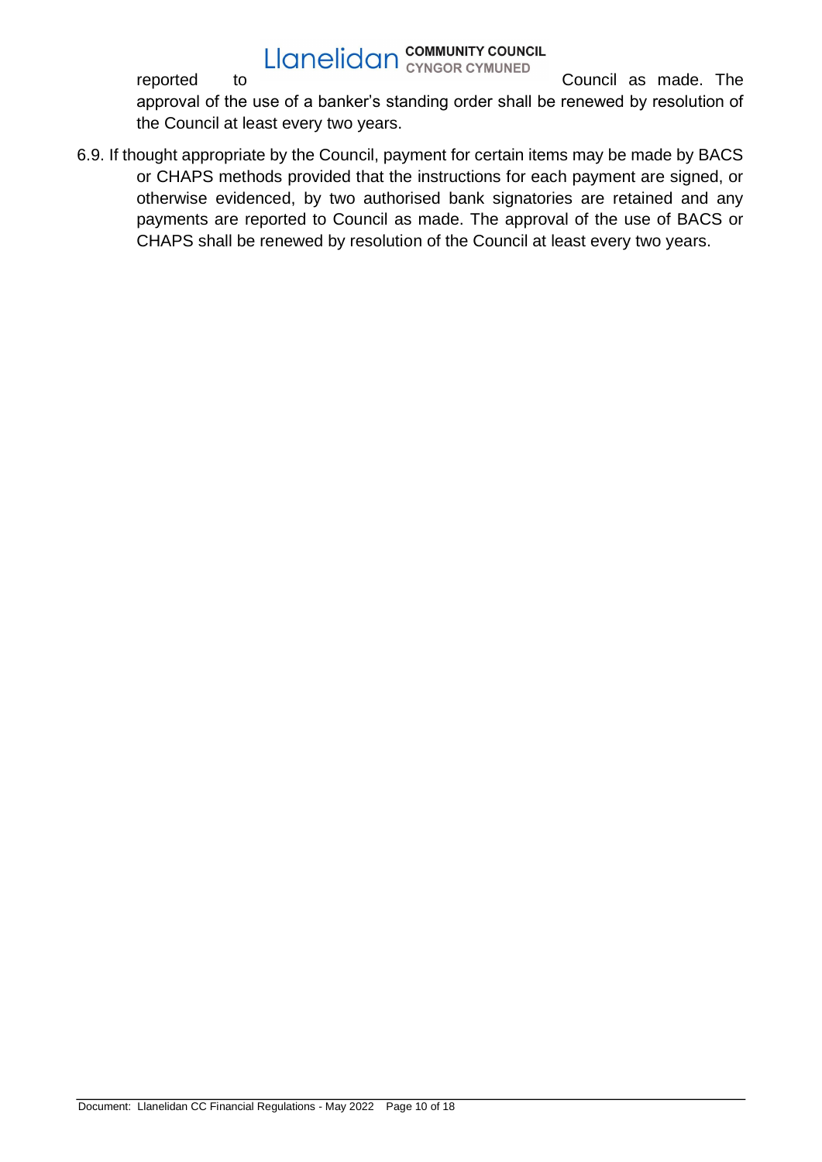**Example 19 Example 19 Example 19 Example 20 Example 20 Example 20 Example 20 Example 20 Example 20 Example 20 Example 20 Example 20 Example 20 Example 20 Example 20 Example 20 Example 20 Example 20 Example 20 Example 20 E** approval of the use of a banker's standing order shall be renewed by resolution of the Council at least every two years.

6.9. If thought appropriate by the Council, payment for certain items may be made by BACS or CHAPS methods provided that the instructions for each payment are signed, or otherwise evidenced, by two authorised bank signatories are retained and any payments are reported to Council as made. The approval of the use of BACS or CHAPS shall be renewed by resolution of the Council at least every two years.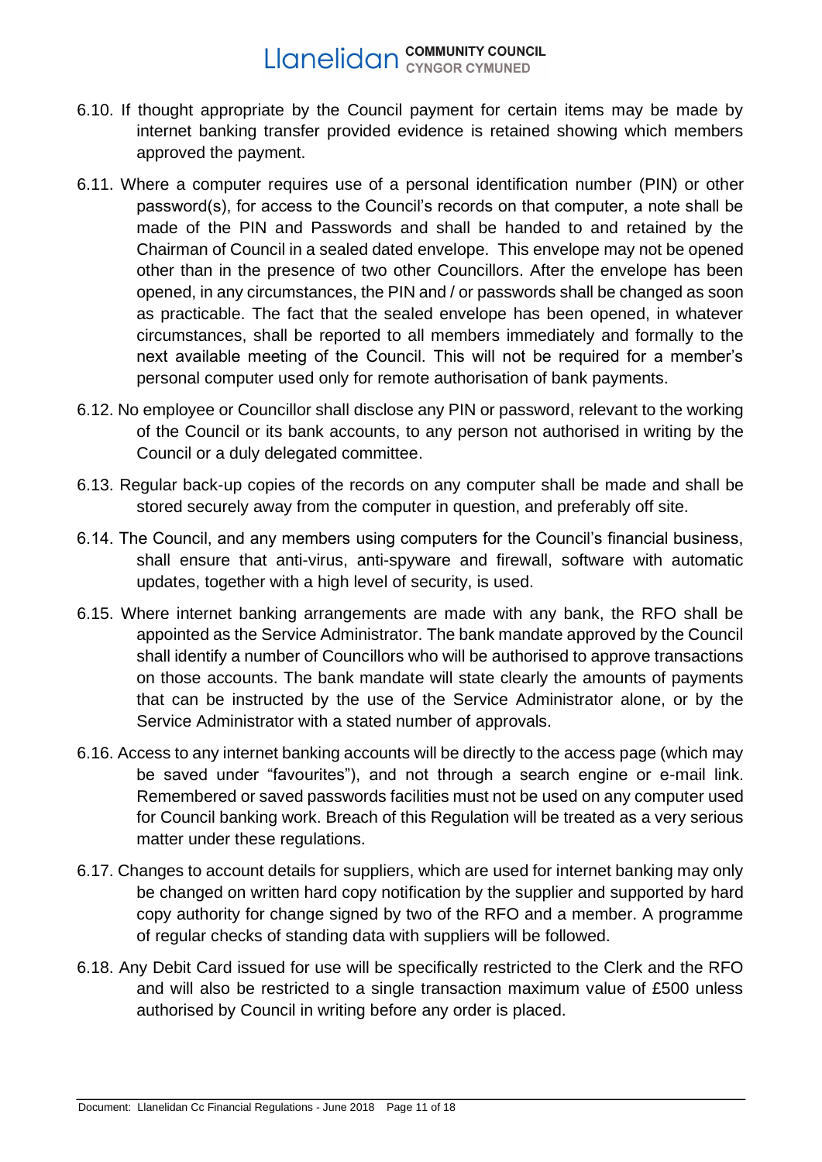- 6.10. If thought appropriate by the Council payment for certain items may be made by internet banking transfer provided evidence is retained showing which members approved the payment.
- 6.11. Where a computer requires use of a personal identification number (PIN) or other password(s), for access to the Council's records on that computer, a note shall be made of the PIN and Passwords and shall be handed to and retained by the Chairman of Council in a sealed dated envelope. This envelope may not be opened other than in the presence of two other Councillors. After the envelope has been opened, in any circumstances, the PIN and / or passwords shall be changed as soon as practicable. The fact that the sealed envelope has been opened, in whatever circumstances, shall be reported to all members immediately and formally to the next available meeting of the Council. This will not be required for a member's personal computer used only for remote authorisation of bank payments.
- 6.12. No employee or Councillor shall disclose any PIN or password, relevant to the working of the Council or its bank accounts, to any person not authorised in writing by the Council or a duly delegated committee.
- 6.13. Regular back-up copies of the records on any computer shall be made and shall be stored securely away from the computer in question, and preferably off site.
- 6.14. The Council, and any members using computers for the Council's financial business, shall ensure that anti-virus, anti-spyware and firewall, software with automatic updates, together with a high level of security, is used.
- 6.15. Where internet banking arrangements are made with any bank, the RFO shall be appointed as the Service Administrator. The bank mandate approved by the Council shall identify a number of Councillors who will be authorised to approve transactions on those accounts. The bank mandate will state clearly the amounts of payments that can be instructed by the use of the Service Administrator alone, or by the Service Administrator with a stated number of approvals.
- 6.16. Access to any internet banking accounts will be directly to the access page (which may be saved under "favourites"), and not through a search engine or e-mail link. Remembered or saved passwords facilities must not be used on any computer used for Council banking work. Breach of this Regulation will be treated as a very serious matter under these regulations.
- 6.17. Changes to account details for suppliers, which are used for internet banking may only be changed on written hard copy notification by the supplier and supported by hard copy authority for change signed by two of the RFO and a member. A programme of regular checks of standing data with suppliers will be followed.
- 6.18. Any Debit Card issued for use will be specifically restricted to the Clerk and the RFO and will also be restricted to a single transaction maximum value of £500 unless authorised by Council in writing before any order is placed.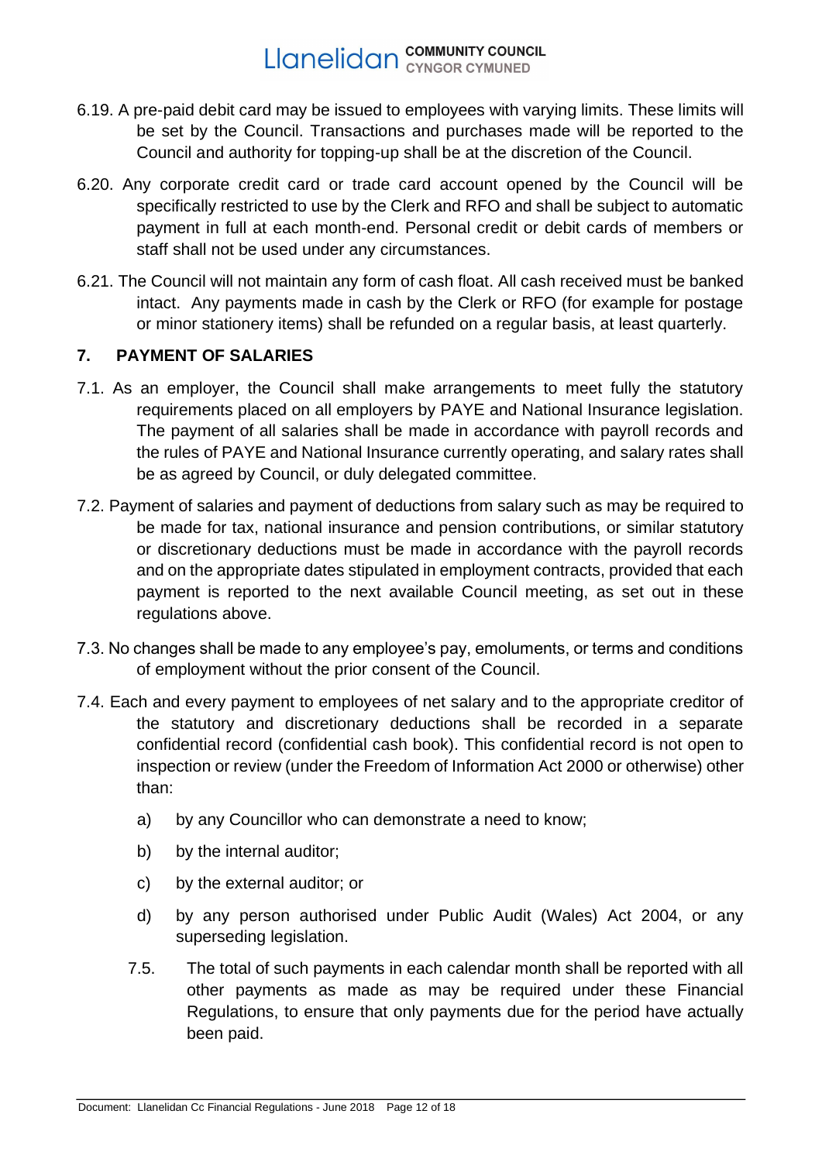- 6.19. A pre-paid debit card may be issued to employees with varying limits. These limits will be set by the Council. Transactions and purchases made will be reported to the Council and authority for topping-up shall be at the discretion of the Council.
- 6.20. Any corporate credit card or trade card account opened by the Council will be specifically restricted to use by the Clerk and RFO and shall be subject to automatic payment in full at each month-end. Personal credit or debit cards of members or staff shall not be used under any circumstances.
- 6.21. The Council will not maintain any form of cash float. All cash received must be banked intact. Any payments made in cash by the Clerk or RFO (for example for postage or minor stationery items) shall be refunded on a regular basis, at least quarterly.

## <span id="page-11-0"></span>**7. PAYMENT OF SALARIES**

- 7.1. As an employer, the Council shall make arrangements to meet fully the statutory requirements placed on all employers by PAYE and National Insurance legislation. The payment of all salaries shall be made in accordance with payroll records and the rules of PAYE and National Insurance currently operating, and salary rates shall be as agreed by Council, or duly delegated committee.
- 7.2. Payment of salaries and payment of deductions from salary such as may be required to be made for tax, national insurance and pension contributions, or similar statutory or discretionary deductions must be made in accordance with the payroll records and on the appropriate dates stipulated in employment contracts, provided that each payment is reported to the next available Council meeting, as set out in these regulations above.
- 7.3. No changes shall be made to any employee's pay, emoluments, or terms and conditions of employment without the prior consent of the Council.
- 7.4. Each and every payment to employees of net salary and to the appropriate creditor of the statutory and discretionary deductions shall be recorded in a separate confidential record (confidential cash book). This confidential record is not open to inspection or review (under the Freedom of Information Act 2000 or otherwise) other than:
	- a) by any Councillor who can demonstrate a need to know;
	- b) by the internal auditor;
	- c) by the external auditor; or
	- d) by any person authorised under Public Audit (Wales) Act 2004, or any superseding legislation.
	- 7.5. The total of such payments in each calendar month shall be reported with all other payments as made as may be required under these Financial Regulations, to ensure that only payments due for the period have actually been paid.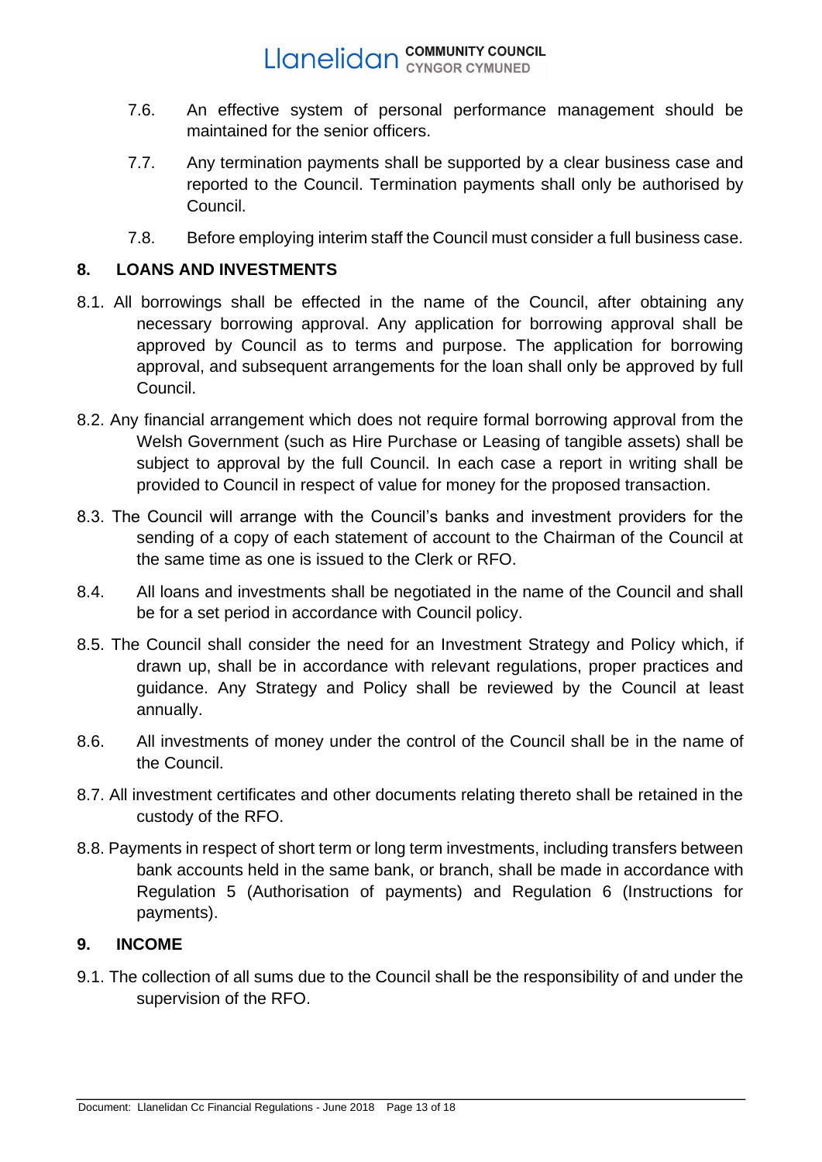- 7.6. An effective system of personal performance management should be maintained for the senior officers.
- 7.7. Any termination payments shall be supported by a clear business case and reported to the Council. Termination payments shall only be authorised by Council.
- 7.8. Before employing interim staff the Council must consider a full business case.

### <span id="page-12-0"></span>**8. LOANS AND INVESTMENTS**

- 8.1. All borrowings shall be effected in the name of the Council, after obtaining any necessary borrowing approval. Any application for borrowing approval shall be approved by Council as to terms and purpose. The application for borrowing approval, and subsequent arrangements for the loan shall only be approved by full Council.
- 8.2. Any financial arrangement which does not require formal borrowing approval from the Welsh Government (such as Hire Purchase or Leasing of tangible assets) shall be subject to approval by the full Council. In each case a report in writing shall be provided to Council in respect of value for money for the proposed transaction.
- 8.3. The Council will arrange with the Council's banks and investment providers for the sending of a copy of each statement of account to the Chairman of the Council at the same time as one is issued to the Clerk or RFO.
- 8.4. All loans and investments shall be negotiated in the name of the Council and shall be for a set period in accordance with Council policy.
- 8.5. The Council shall consider the need for an Investment Strategy and Policy which, if drawn up, shall be in accordance with relevant regulations, proper practices and guidance. Any Strategy and Policy shall be reviewed by the Council at least annually.
- 8.6. All investments of money under the control of the Council shall be in the name of the Council.
- 8.7. All investment certificates and other documents relating thereto shall be retained in the custody of the RFO.
- 8.8. Payments in respect of short term or long term investments, including transfers between bank accounts held in the same bank, or branch, shall be made in accordance with Regulation 5 (Authorisation of payments) and Regulation 6 (Instructions for payments).

### <span id="page-12-1"></span>**9. INCOME**

9.1. The collection of all sums due to the Council shall be the responsibility of and under the supervision of the RFO.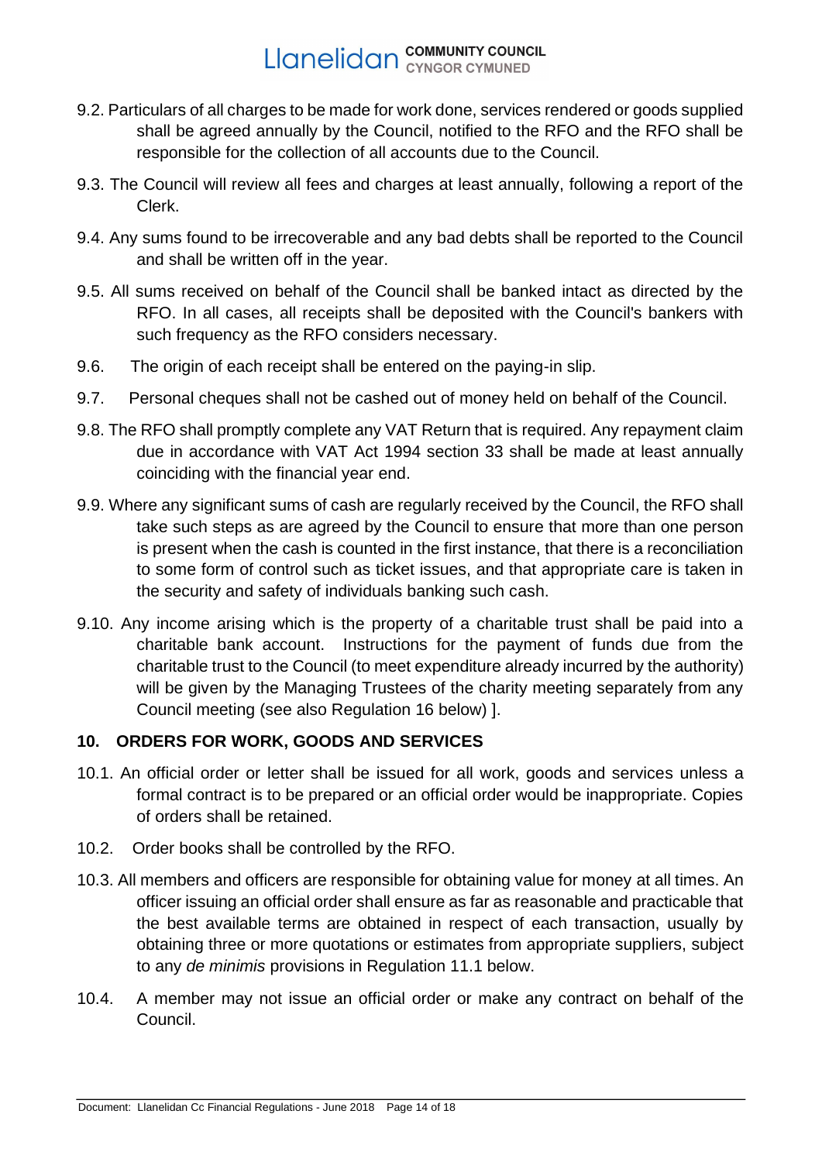- 9.2. Particulars of all charges to be made for work done, services rendered or goods supplied shall be agreed annually by the Council, notified to the RFO and the RFO shall be responsible for the collection of all accounts due to the Council.
- 9.3. The Council will review all fees and charges at least annually, following a report of the Clerk.
- 9.4. Any sums found to be irrecoverable and any bad debts shall be reported to the Council and shall be written off in the year.
- 9.5. All sums received on behalf of the Council shall be banked intact as directed by the RFO. In all cases, all receipts shall be deposited with the Council's bankers with such frequency as the RFO considers necessary.
- 9.6. The origin of each receipt shall be entered on the paying-in slip.
- 9.7. Personal cheques shall not be cashed out of money held on behalf of the Council.
- 9.8. The RFO shall promptly complete any VAT Return that is required. Any repayment claim due in accordance with VAT Act 1994 section 33 shall be made at least annually coinciding with the financial year end.
- 9.9. Where any significant sums of cash are regularly received by the Council, the RFO shall take such steps as are agreed by the Council to ensure that more than one person is present when the cash is counted in the first instance, that there is a reconciliation to some form of control such as ticket issues, and that appropriate care is taken in the security and safety of individuals banking such cash.
- 9.10. Any income arising which is the property of a charitable trust shall be paid into a charitable bank account. Instructions for the payment of funds due from the charitable trust to the Council (to meet expenditure already incurred by the authority) will be given by the Managing Trustees of the charity meeting separately from any Council meeting (see also Regulation 16 below) ].

## <span id="page-13-0"></span>**10. ORDERS FOR WORK, GOODS AND SERVICES**

- 10.1. An official order or letter shall be issued for all work, goods and services unless a formal contract is to be prepared or an official order would be inappropriate. Copies of orders shall be retained.
- 10.2. Order books shall be controlled by the RFO.
- 10.3. All members and officers are responsible for obtaining value for money at all times. An officer issuing an official order shall ensure as far as reasonable and practicable that the best available terms are obtained in respect of each transaction, usually by obtaining three or more quotations or estimates from appropriate suppliers, subject to any *de minimis* provisions in Regulation 11.1 below.
- 10.4. A member may not issue an official order or make any contract on behalf of the Council.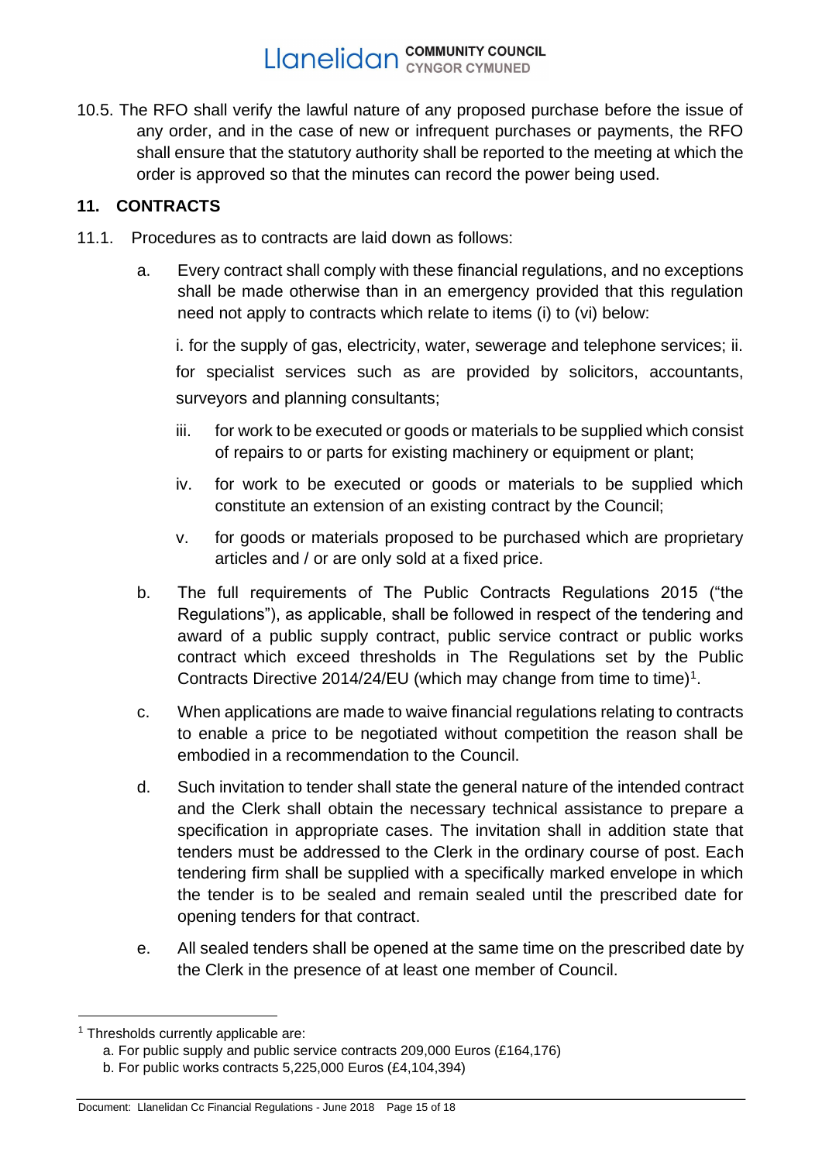10.5. The RFO shall verify the lawful nature of any proposed purchase before the issue of any order, and in the case of new or infrequent purchases or payments, the RFO shall ensure that the statutory authority shall be reported to the meeting at which the order is approved so that the minutes can record the power being used.

## <span id="page-14-0"></span>**11. CONTRACTS**

- 11.1. Procedures as to contracts are laid down as follows:
	- a. Every contract shall comply with these financial regulations, and no exceptions shall be made otherwise than in an emergency provided that this regulation need not apply to contracts which relate to items (i) to (vi) below:

i. for the supply of gas, electricity, water, sewerage and telephone services; ii. for specialist services such as are provided by solicitors, accountants, surveyors and planning consultants;

- iii. for work to be executed or goods or materials to be supplied which consist of repairs to or parts for existing machinery or equipment or plant;
- iv. for work to be executed or goods or materials to be supplied which constitute an extension of an existing contract by the Council;
- v. for goods or materials proposed to be purchased which are proprietary articles and / or are only sold at a fixed price.
- b. The full requirements of The Public Contracts Regulations 2015 ("the Regulations"), as applicable, shall be followed in respect of the tendering and award of a public supply contract, public service contract or public works contract which exceed thresholds in The Regulations set by the Public Contracts Directive 2014/24/EU (which may change from time to time)<sup>1</sup>.
- c. When applications are made to waive financial regulations relating to contracts to enable a price to be negotiated without competition the reason shall be embodied in a recommendation to the Council.
- d. Such invitation to tender shall state the general nature of the intended contract and the Clerk shall obtain the necessary technical assistance to prepare a specification in appropriate cases. The invitation shall in addition state that tenders must be addressed to the Clerk in the ordinary course of post. Each tendering firm shall be supplied with a specifically marked envelope in which the tender is to be sealed and remain sealed until the prescribed date for opening tenders for that contract.
- e. All sealed tenders shall be opened at the same time on the prescribed date by the Clerk in the presence of at least one member of Council.

<sup>&</sup>lt;sup>1</sup> Thresholds currently applicable are:

a. For public supply and public service contracts 209,000 Euros (£164,176)

b. For public works contracts 5,225,000 Euros (£4,104,394)

Document: Llanelidan Cc Financial Regulations - June 2018 Page 15 of 18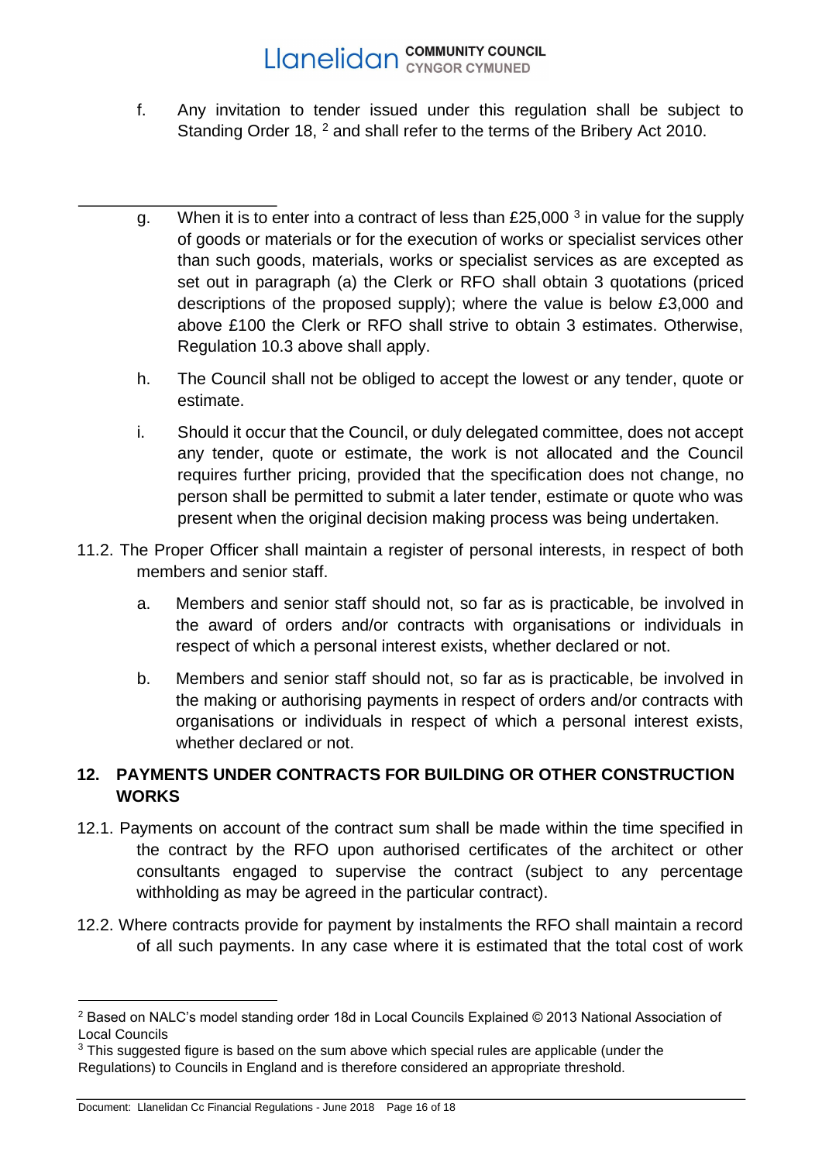- f. Any invitation to tender issued under this regulation shall be subject to Standing Order 18, <sup>2</sup> and shall refer to the terms of the Bribery Act 2010.
- g. When it is to enter into a contract of less than £25,000  $3$  in value for the supply of goods or materials or for the execution of works or specialist services other than such goods, materials, works or specialist services as are excepted as set out in paragraph (a) the Clerk or RFO shall obtain 3 quotations (priced descriptions of the proposed supply); where the value is below £3,000 and above £100 the Clerk or RFO shall strive to obtain 3 estimates. Otherwise, Regulation 10.3 above shall apply.
- h. The Council shall not be obliged to accept the lowest or any tender, quote or estimate.
- i. Should it occur that the Council, or duly delegated committee, does not accept any tender, quote or estimate, the work is not allocated and the Council requires further pricing, provided that the specification does not change, no person shall be permitted to submit a later tender, estimate or quote who was present when the original decision making process was being undertaken.
- 11.2. The Proper Officer shall maintain a register of personal interests, in respect of both members and senior staff.
	- a. Members and senior staff should not, so far as is practicable, be involved in the award of orders and/or contracts with organisations or individuals in respect of which a personal interest exists, whether declared or not.
	- b. Members and senior staff should not, so far as is practicable, be involved in the making or authorising payments in respect of orders and/or contracts with organisations or individuals in respect of which a personal interest exists, whether declared or not.

## <span id="page-15-0"></span>**12. PAYMENTS UNDER CONTRACTS FOR BUILDING OR OTHER CONSTRUCTION WORKS**

- 12.1. Payments on account of the contract sum shall be made within the time specified in the contract by the RFO upon authorised certificates of the architect or other consultants engaged to supervise the contract (subject to any percentage withholding as may be agreed in the particular contract).
- 12.2. Where contracts provide for payment by instalments the RFO shall maintain a record of all such payments. In any case where it is estimated that the total cost of work

<sup>2</sup> Based on NALC's model standing order 18d in Local Councils Explained © 2013 National Association of Local Councils

 $3$  This suggested figure is based on the sum above which special rules are applicable (under the Regulations) to Councils in England and is therefore considered an appropriate threshold.

Document: Llanelidan Cc Financial Regulations - June 2018 Page 16 of 18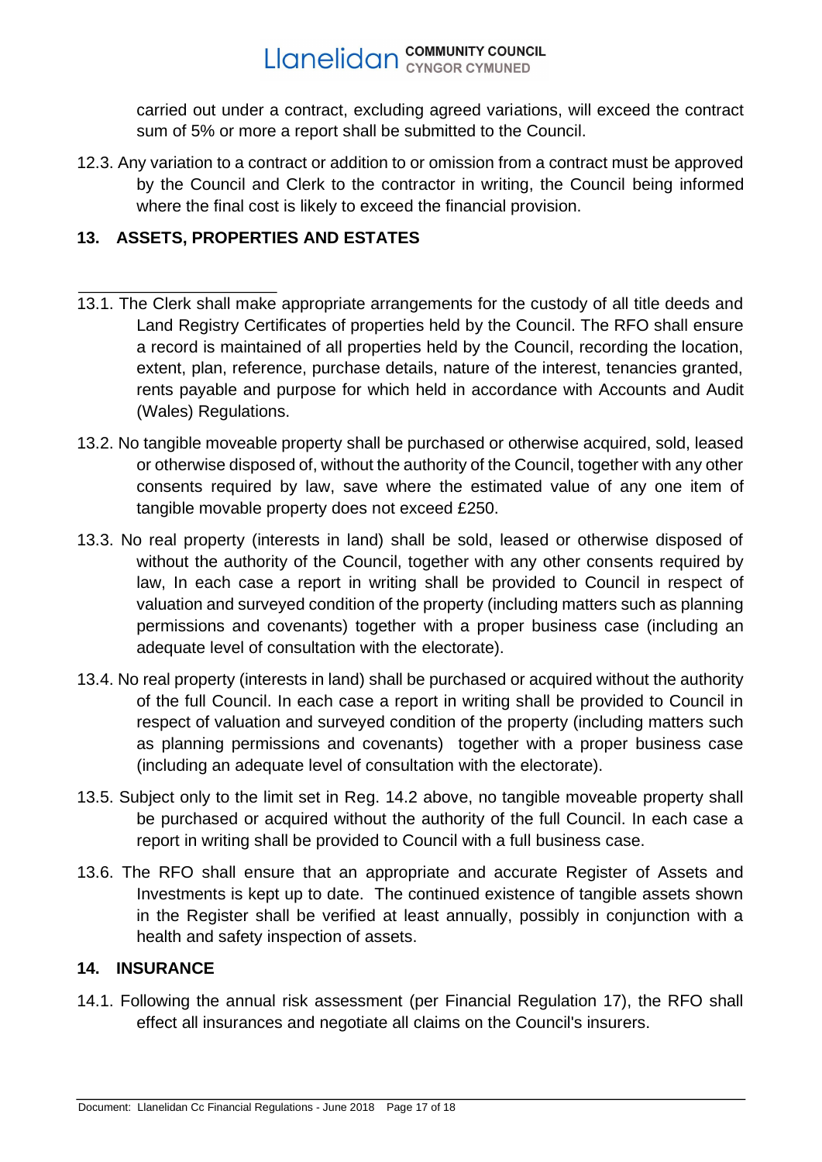carried out under a contract, excluding agreed variations, will exceed the contract sum of 5% or more a report shall be submitted to the Council.

12.3. Any variation to a contract or addition to or omission from a contract must be approved by the Council and Clerk to the contractor in writing, the Council being informed where the final cost is likely to exceed the financial provision.

## <span id="page-16-0"></span>**13. ASSETS, PROPERTIES AND ESTATES**

- 13.1. The Clerk shall make appropriate arrangements for the custody of all title deeds and Land Registry Certificates of properties held by the Council. The RFO shall ensure a record is maintained of all properties held by the Council, recording the location, extent, plan, reference, purchase details, nature of the interest, tenancies granted, rents payable and purpose for which held in accordance with Accounts and Audit (Wales) Regulations.
- 13.2. No tangible moveable property shall be purchased or otherwise acquired, sold, leased or otherwise disposed of, without the authority of the Council, together with any other consents required by law, save where the estimated value of any one item of tangible movable property does not exceed £250.
- 13.3. No real property (interests in land) shall be sold, leased or otherwise disposed of without the authority of the Council, together with any other consents required by law, In each case a report in writing shall be provided to Council in respect of valuation and surveyed condition of the property (including matters such as planning permissions and covenants) together with a proper business case (including an adequate level of consultation with the electorate).
- 13.4. No real property (interests in land) shall be purchased or acquired without the authority of the full Council. In each case a report in writing shall be provided to Council in respect of valuation and surveyed condition of the property (including matters such as planning permissions and covenants) together with a proper business case (including an adequate level of consultation with the electorate).
- 13.5. Subject only to the limit set in Reg. 14.2 above, no tangible moveable property shall be purchased or acquired without the authority of the full Council. In each case a report in writing shall be provided to Council with a full business case.
- 13.6. The RFO shall ensure that an appropriate and accurate Register of Assets and Investments is kept up to date. The continued existence of tangible assets shown in the Register shall be verified at least annually, possibly in conjunction with a health and safety inspection of assets.

## <span id="page-16-1"></span>**14. INSURANCE**

14.1. Following the annual risk assessment (per Financial Regulation 17), the RFO shall effect all insurances and negotiate all claims on the Council's insurers.